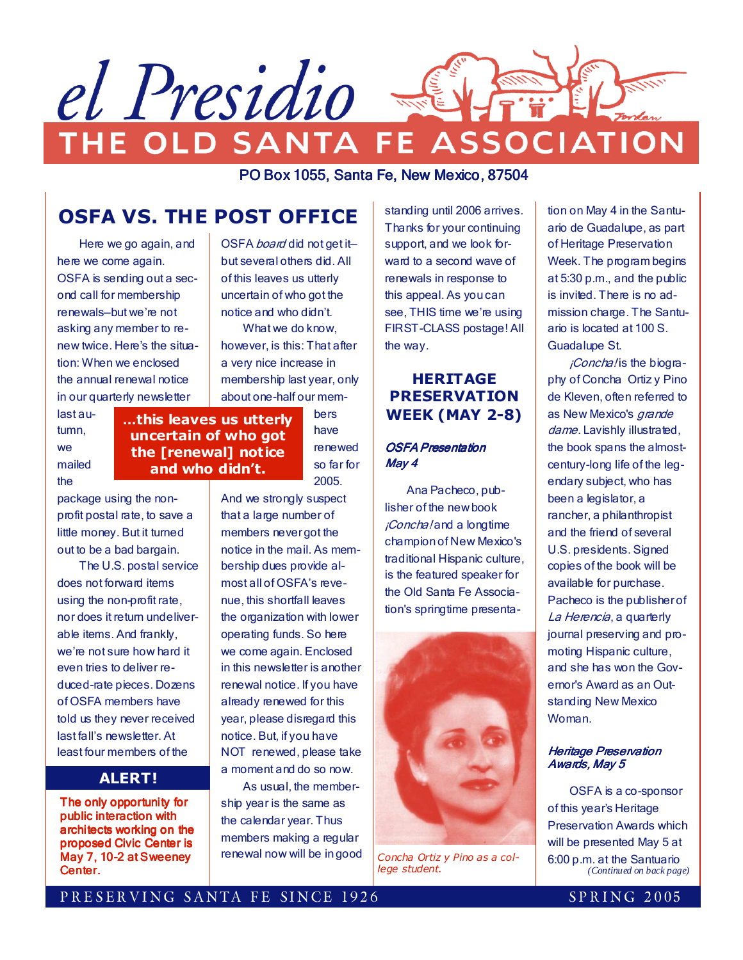

PO Box 1055, Santa Fe, New Mexico, 87504

# OSFA VS. THE POST OFFICE

 Here we go again, and here we come again. OSFA is sending out a second call for membership renewals—but we're not asking any member to renew twice. Here's the situation: When we enclosed the annual renewal notice in our quarterly newsletter

OSFA *board* did not get itbut several others did. All of this leaves us utterly uncertain of who got the notice and who didn't. What we do know, however, is this: That after a very nice increase in membership last year, only about one-half our mem-

> bers have renewed so far for 2005.

last autumn, we mailed the

...this leaves us utterly uncertain of who got the [renewal] notice and who didn't.

package using the nonprofit postal rate, to save a

little money. But it turned out to be a bad bargain. The U.S. postal service does not forward items using the non-profit rate, nor does it return undeliverable items. And frankly, we're not sure how hard it even tries to deliver reduced-rate pieces. Dozens

of OSFA members have told us they never received last fall's newsletter. At least four members of the

# ALERT!

The only opportunity for public interaction with architects working on the proposed Civic Center is May 7, 10-2 at Sweeney Center.

And we strongly suspect that a large number of members never got the notice in the mail. As membership dues provide almost all of OSFA's revenue, this shortfall leaves the organization with lower operating funds. So here we come again. Enclosed in this newsletter is another renewal notice. If you have already renewed for this year, please disregard this notice. But, if you have NOT renewed, please take a moment and do so now.

 As usual, the membership year is the same as the calendar year. Thus members making a regular renewal now will be in good

standing until 2006 arrives. Thanks for your continuing support, and we look forward to a second wave of renewals in response to this appeal. As you can see, THIS time we're using FIRST-CLASS postage! All the way.

### HERITAGE PRESERVATION WEEK (MAY 2-8)

#### **OSFA Presentation** May 4

 Ana Pacheco, publisher of the new book *iConcha!* and a longtime champion of New Mexico's traditional Hispanic culture, is the featured speaker for the Old Santa Fe Association's springtime presenta-



Concha Ortiz y Pino as a college student.

tion on May 4 in the Santuario de Guadalupe, as part of Heritage Preservation Week. The program begins at 5:30 p.m., and the public is invited. There is no admission charge. The Santuario is located at 100 S. Guadalupe St.

*¡Concha!* is the biography of Concha Ortiz y Pino de Kleven, often referred to as New Mexico's grande dame. Lavishly illustrated, the book spans the almostcentury-long life of the legendary subject, who has been a legislator, a rancher, a philanthropist and the friend of several U.S. presidents. Signed copies of the book will be available for purchase. Pacheco is the publisher of La Herencia, a quarterly journal preserving and promoting Hispanic culture, and she has won the Governor's Award as an Outstanding New Mexico Woman.

#### **Heritage Preservation** Awards, May 5

 OSFA is a co-sponsor of this year's Heritage Preservation Awards which will be presented May 5 at 6:00 p.m. at the Santuario *(Continued on back page)* 

### PRESERVING SANTA FE SINCE 1926 SPRING 2005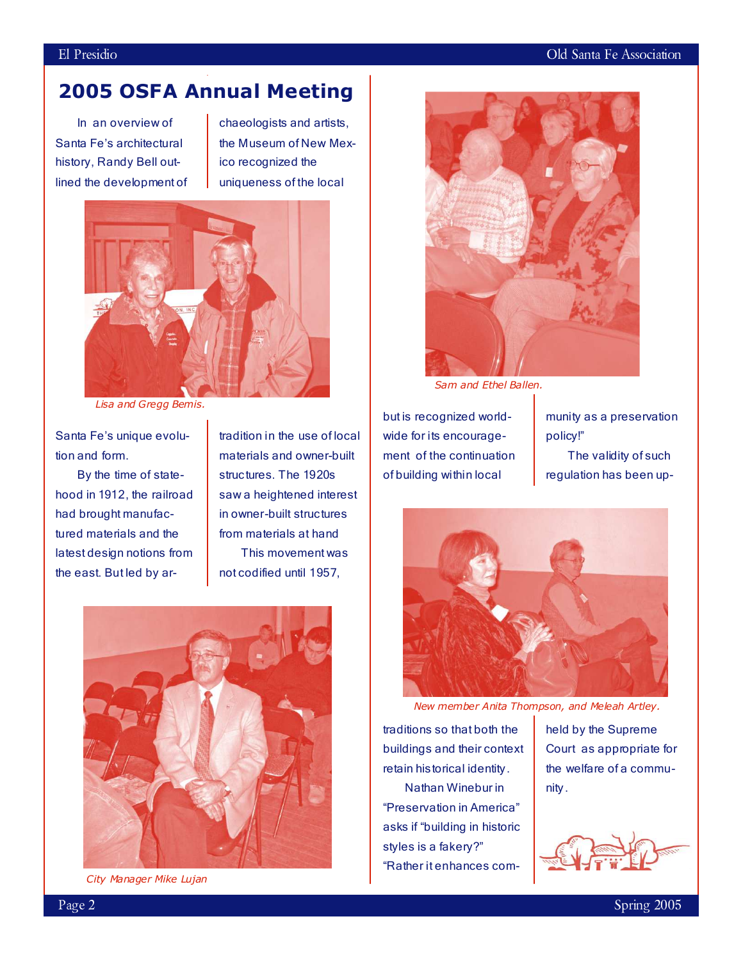### El Presidio della Companya di Company del Company della Companya di Company del Cold Santa Fe Association

# 2005 OSFA Annual Meeting

 In an overview of Santa Fe's architectural history, Randy Bell outlined the development of chaeologists and artists, the Museum of New Mexico recognized the uniqueness of the local



Lisa and Gregg Bemis.

Santa Fe's unique evolution and form.

 By the time of statehood in 1912, the railroad had brought manufactured materials and the latest design notions from the east. But led by ar-

tradition in the use of local materials and owner-built structures. The 1920s saw a heightened interest in owner-built structures from materials at hand This movement was not codified until 1957,



City Manager Mike Lujan



Sam and Ethel Ballen.

but is recognized worldwide for its encouragement of the continuation of building within local

munity as a preservation policy!"

 The validity of such regulation has been up-



New member Anita Thompson, and Meleah Artley.

traditions so that both the buildings and their context retain historical identity.

 Nathan Winebur in "Preservation in America" asks if "building in historic styles is a fakery?" "Rather it enhances com-

held by the Supreme Court as appropriate for the welfare of a community.

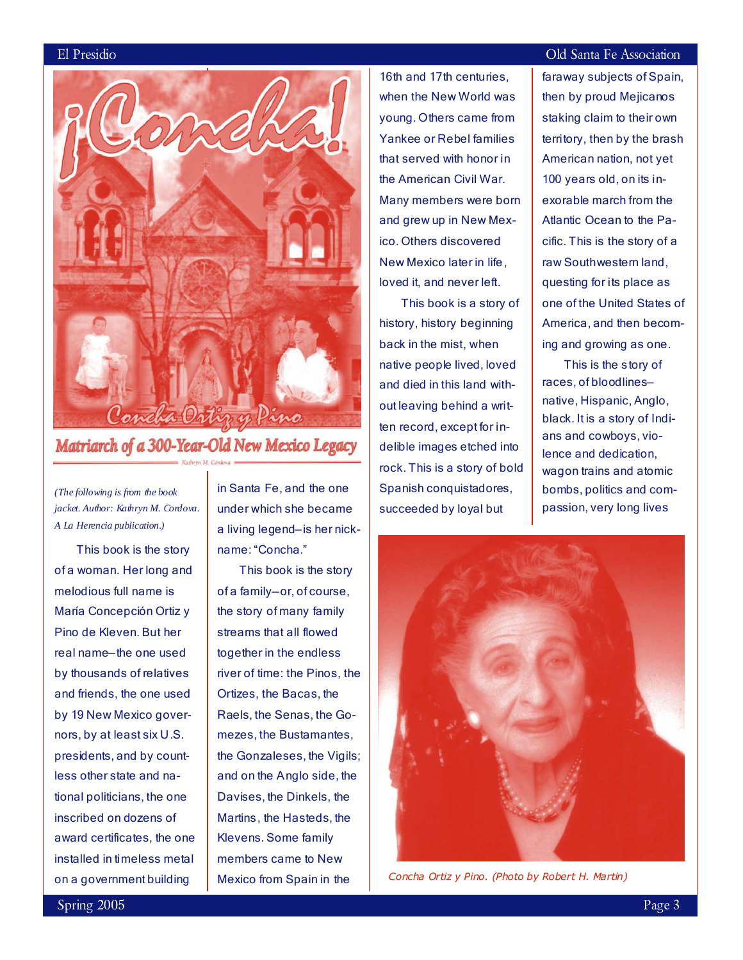

# Matriarch of a 300-Year-Old New Mexico Legacy

*(The following is from the book jacket. Author: Kathryn M. Cordova. A La Herencia publication.)*

This book is the story of a woman. Her long and melodious full name is María Concepción Ortiz y Pino de Kleven. But her real name—the one used by thousands of relatives and friends, the one used by 19 New Mexico governors, by at least six U.S. presidents, and by countless other state and national politicians, the one inscribed on dozens of award certificates, the one installed in timeless metal on a government building

in Santa Fe, and the one under which she became a living legend—is her nickname: "Concha."

 This book is the story of a family—or, of course, the story of many family streams that all flowed together in the endless river of time: the Pinos, the Ortizes, the Bacas, the Raels, the Senas, the Gomezes, the Bustamantes, the Gonzaleses, the Vigils; and on the Anglo side, the Davises, the Dinkels, the Martins, the Hasteds, the Klevens. Some family members came to New Mexico from Spain in the

16th and 17th centuries, when the New World was young. Others came from Yankee or Rebel families that served with honor in the American Civil War. Many members were born and grew up in New Mexico. Others discovered New Mexico later in life , loved it, and never left.

 This book is a story of history, history beginning back in the mist, when native people lived, loved and died in this land without leaving behind a written record, except for indelible images etched into rock. This is a story of bold Spanish conquistadores, succeeded by loyal but

#### ElPresidio OldSantaFeAssociation

faraway subjects of Spain, then by proud Mejicanos staking claim to their own territory, then by the brash American nation, not yet 100 years old, on its inexorable march from the Atlantic Ocean to the Pacific. This is the story of a raw Southwestern land, questing for its place as one of the United States of America, and then becoming and growing as one.

 This is the story of races, of bloodlines native, Hispanic, Anglo, black. It is a story of Indians and cowboys, violence and dedication, wagon trains and atomic bombs, politics and compassion, very long lives



Concha Ortiz y Pino. (Photo by Robert H. Martin)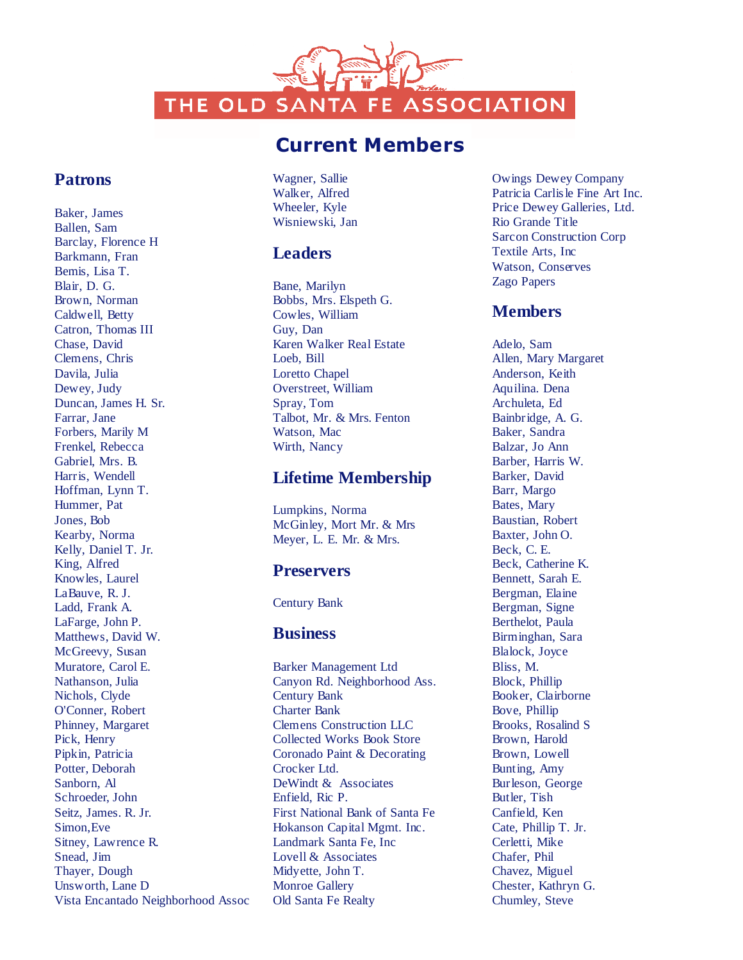THE OLD SANTA FE ASSOCIATION

# Current Members

## **Patrons**

Baker, James Ballen, Sam Barclay, Florence H Barkmann, Fran Bemis, Lisa T. Blair, D. G. Brown, Norman Caldwell, Betty Catron, Thomas III Chase, David Clemens, Chris Davila, Julia Dewey, Judy Duncan, James H. Sr. Farrar, Jane Forbers, Marily M Frenkel, Rebecca Gabriel, Mrs. B. Harris, Wendell Hoffman, Lynn T. Hummer, Pat Jones, Bob Kearby, Norma Kelly, Daniel T. Jr. King, Alfred Knowles, Laurel LaBauve, R. J. Ladd, Frank A. LaFarge, John P. Matthews, David W. McGreevy, Susan Muratore, Carol E. Nathanson, Julia Nichols, Clyde O'Conner, Robert Phinney, Margaret Pick, Henry Pipkin, Patricia Potter, Deborah Sanborn, Al Schroeder, John Seitz, James. R. Jr. Simon,Eve Sitney, Lawrence R. Snead, Jim Thayer, Dough Unsworth, Lane D Vista Encantado Neighborhood Assoc

Wagner, Sallie Walker, Alfred Wheeler, Kyle Wisniewski, Jan

### **Leaders**

Bane, Marilyn Bobbs, Mrs. Elspeth G. Cowles, William Guy, Dan Karen Walker Real Estate Loeb, Bill Loretto Chapel Overstreet, William Spray, Tom Talbot, Mr. & Mrs. Fenton Watson, Mac Wirth, Nancy

## **Lifetime Membership**

Lumpkins, Norma McGinley, Mort Mr. & Mrs Meyer, L. E. Mr. & Mrs.

## **Preservers**

Century Bank

#### **Business**

Barker Management Ltd Canyon Rd. Neighborhood Ass. Century Bank Charter Bank Clemens Construction LLC Collected Works Book Store Coronado Paint & Decorating Crocker Ltd. DeWindt & Associates Enfield, Ric P. First National Bank of Santa Fe Hokanson Capital Mgmt. Inc. Landmark Santa Fe, Inc Lovell & Associates Midyette, John T. Monroe Gallery Old Santa Fe Realty

Owings Dewey Company Patricia Carlisle Fine Art Inc. Price Dewey Galleries, Ltd. Rio Grande Title Sarcon Construction Corp Textile Arts, Inc Watson, Conserves Zago Papers

# **Members**

Adelo, Sam Allen, Mary Margaret Anderson, Keith Aquilina. Dena Archuleta, Ed Bainbridge, A. G. Baker, Sandra Balzar, Jo Ann Barber, Harris W. Barker, David Barr, Margo Bates, Mary Baustian, Robert Baxter, John O. Beck, C. E. Beck, Catherine K. Bennett, Sarah E. Bergman, Elaine Bergman, Signe Berthelot, Paula Birminghan, Sara Blalock, Joyce Bliss, M. Block, Phillip Booker, Clairborne Bove, Phillip Brooks, Rosalind S Brown, Harold Brown, Lowell Bunting, Amy Burleson, George Butler, Tish Canfield, Ken Cate, Phillip T. Jr. Cerletti, Mike Chafer, Phil Chavez, Miguel Chester, Kathryn G. Chumley, Steve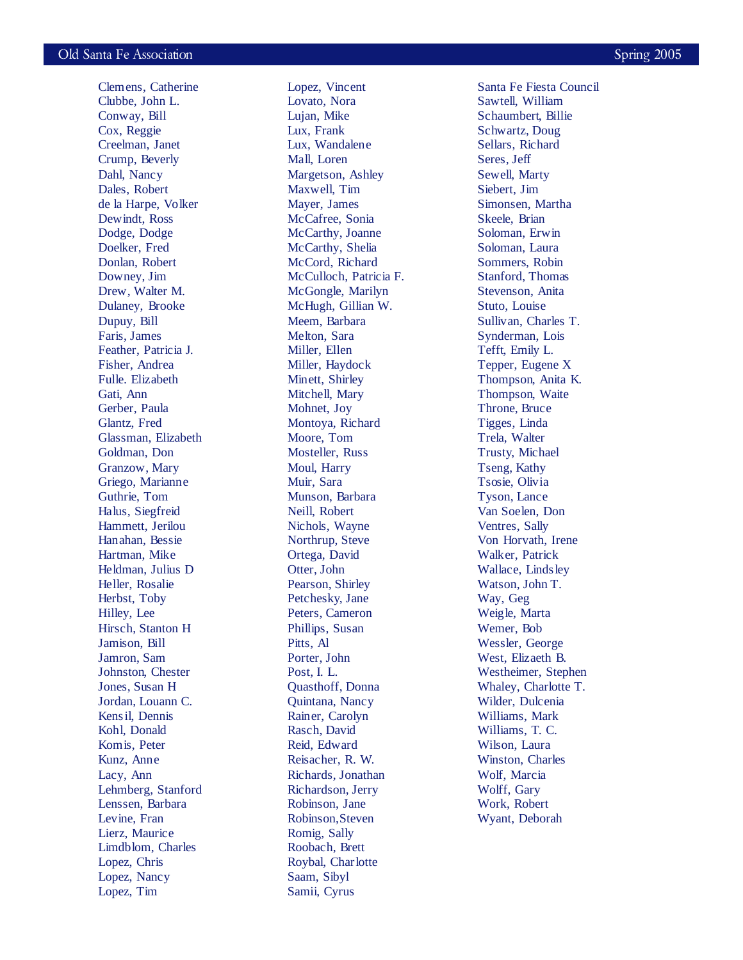Clemens, Catherine Clubbe, John L. Conway, Bill Cox, Reggie Creelman, Janet Crump, Beverly Dahl, Nancy Dales, Robert de la Harpe, Volker Dewindt, Ross Dodge, Dodge Doelker, Fred Donlan, Robert Downey, Jim Drew, Walter M. Dulaney, Brooke Dupuy, Bill Faris, James Feather, Patricia J. Fisher, Andrea Fulle. Elizabeth Gati, Ann Gerber, Paula Glantz, Fred Glassman, Elizabeth Goldman, Don Granzow, Mary Griego, Marianne Guthrie, Tom Halus, Siegfreid Hammett, Jerilou Hanahan, Bessie Hartman, Mike Heldman, Julius D Heller, Rosalie Herbst, Toby Hilley, Lee Hirsch, Stanton H Jamison, Bill Jamron, Sam Johnston, Chester Jones, Susan H Jordan, Louann C. Kensil, Dennis Kohl, Donald Komis, Peter Kunz, Anne Lacy, Ann Lehmberg, Stanford Lenssen, Barbara Levine, Fran Lierz, Maurice Limdblom, Charles Lopez, Chris Lopez, Nancy Lopez, Tim

Lopez, Vincent Lovato, Nora Lujan, Mike Lux, Frank Lux, Wandalene Mall, Loren Margetson, Ashley Maxwell, Tim Mayer, James McCafree, Sonia McCarthy, Joanne McCarthy, Shelia McCord, Richard McCulloch, Patricia F. McGongle, Marilyn McHugh, Gillian W. Meem, Barbara Melton, Sara Miller, Ellen Miller, Haydock Minett, Shirley Mitchell, Mary Mohnet, Joy Montoya, Richard Moore, Tom Mosteller, Russ Moul, Harry Muir, Sara Munson, Barbara Neill, Robert Nichols, Wayne Northrup, Steve Ortega, David Otter, John Pearson, Shirley Petchesky, Jane Peters, Cameron Phillips, Susan Pitts, Al Porter, John Post, I. L. Quasthoff, Donna Quintana, Nancy Rainer, Carolyn Rasch, David Reid, Edward Reisacher, R. W. Richards, Jonathan Richardson, Jerry Robinson, Jane Robinson,Steven Romig, Sally Roobach, Brett Roybal, Charlotte Saam, Sibyl Samii, Cyrus

Santa Fe Fiesta Council Sawtell, William Schaumbert, Billie Schwartz, Doug Sellars, Richard Seres, Jeff Sewell, Marty Siebert, Jim Simonsen, Martha Skeele, Brian Soloman, Erwin Soloman, Laura Sommers, Robin Stanford, Thomas Stevenson, Anita Stuto, Louise Sullivan, Charles T. Synderman, Lois Tefft, Emily L. Tepper, Eugene X Thompson, Anita K. Thompson, Waite Throne, Bruce Tigges, Linda Trela, Walter Trusty, Michael Tseng, Kathy Tsosie, Olivia Tyson, Lance Van Soelen, Don Ventres, Sally Von Horvath, Irene Walker, Patrick Wallace, Lindsley Watson, John T. Way, Geg Weigle, Marta Wemer, Bob Wessler, George West, Elizaeth B. Westheimer, Stephen Whaley, Charlotte T. Wilder, Dulcenia Williams, Mark Williams, T. C. Wilson, Laura Winston, Charles Wolf, Marcia Wolff, Gary Work, Robert

Wyant, Deborah